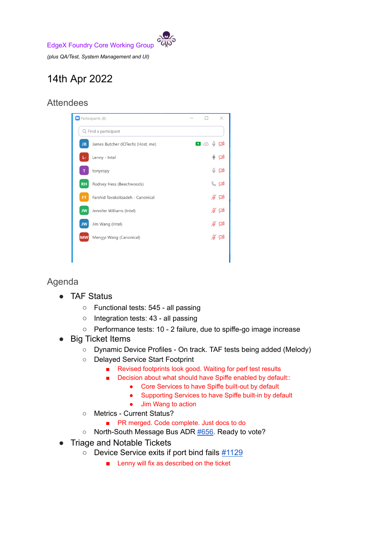EdgeX Foundry Core Working Group

*(plus QA/Test, System Management and UI)*

## 14th Apr 2022

## **Attendees**



## Agenda

- **TAF Status** 
	- Functional tests: 545 all passing
	- Integration tests: 43 all passing
	- Performance tests: 10 2 failure, due to spiffe-go image increase
- **Big Ticket Items** 
	- Dynamic Device Profiles On track. TAF tests being added (Melody)
	- Delayed Service Start Footprint
		- Revised footprints look good. Waiting for perf test results
		- Decision about what should have Spiffe enabled by default::
			- Core Services to have Spiffe built-out by default
			- Supporting Services to have Spiffe built-in by default
			- Jim Wang to action
	- Metrics Current Status?
		- PR merged. Code complete. Just docs to do
	- North-South Message Bus ADR [#656.](https://github.com/edgexfoundry/edgex-docs/pull/656) Ready to vote?
- **Triage and Notable Tickets** 
	- **○** Device Service exits if port bind fails [#1129](https://github.com/edgexfoundry/device-sdk-go/issues/1129#issuecomment-1096892682)
		- Lenny will fix as described on the ticket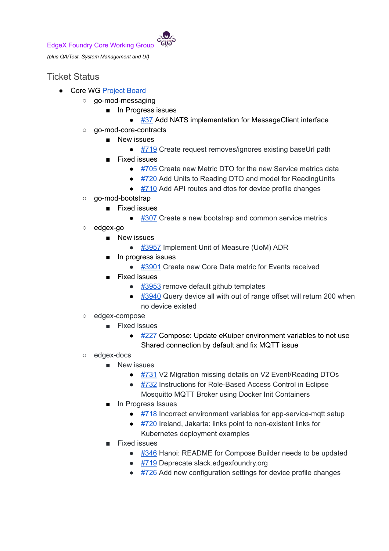

*(plus QA/Test, System Management and UI)*

## Ticket Status

- Core WG [Project](https://github.com/orgs/edgexfoundry/projects/25) Board
	- go-mod-messaging
		- In Progress issues
			- [#37](https://github.com/edgexfoundry/go-mod-messaging/issues/37) Add NATS implementation for MessageClient interface
	- go-mod-core-contracts
		- New issues
			- [#719](https://github.com/edgexfoundry/go-mod-core-contracts/issues/719) Create request removes/ignores existing baseUrl path
		- **Fixed issues** 
			- [#705](https://github.com/edgexfoundry/go-mod-core-contracts/issues/705) Create new Metric DTO for the new Service metrics data
			- [#720](https://github.com/edgexfoundry/go-mod-core-contracts/issues/720) Add Units to Reading DTO and model for ReadingUnits
			- [#710](https://github.com/edgexfoundry/go-mod-core-contracts/issues/710) Add API routes and dtos for device profile changes
	- go-mod-bootstrap
		- Fixed issues
			- $\bullet$  [#307](https://github.com/edgexfoundry/go-mod-bootstrap/issues/307) Create a new bootstrap and common service metrics
	- edgex-go
		- New issues
			- [#3957](https://github.com/edgexfoundry/edgex-go/issues/3957) Implement Unit of Measure (UoM) ADR
		- In progress issues
			- [#3901](https://github.com/edgexfoundry/edgex-go/issues/3901) Create new Core Data metric for Events received
		- **Fixed issues** 
			- $\bullet$  [#3953](https://github.com/edgexfoundry/edgex-go/issues/3953) remove default github templates
			- $\bullet$  [#3940](https://github.com/edgexfoundry/edgex-go/issues/3940) Query device all with out of range offset will return 200 when no device existed
	- edgex-compose
		- Fixed issues
			- $\bullet$  [#227](https://github.com/edgexfoundry/edgex-compose/issues/227) Compose: Update eKuiper environment variables to not use Shared connection by default and fix MQTT issue
	- edgex-docs
		- New issues
			- [#731](https://github.com/edgexfoundry/edgex-docs/issues/731) V2 Migration missing details on V2 Event/Reading DTOs
			- [#732](https://github.com/edgexfoundry/edgex-docs/issues/732) Instructions for Role-Based Access Control in Eclipse Mosquitto MQTT Broker using Docker Init Containers
		- In Progress Issues
			- [#718](https://github.com/edgexfoundry/edgex-docs/issues/718) Incorrect environment variables for app-service-mqtt setup
			- $\bullet$  [#720](https://github.com/edgexfoundry/edgex-docs/issues/720) Ireland, Jakarta: links point to non-existent links for Kubernetes deployment examples
		- **Fixed issues** 
			- [#346](https://github.com/edgexfoundry/edgex-docs/issues/346) Hanoi: README for Compose Builder needs to be updated
			- [#719](https://github.com/edgexfoundry/edgex-docs/issues/719) Deprecate slack.edgexfoundry.org
			- [#726](https://github.com/edgexfoundry/edgex-docs/issues/726) Add new configuration settings for device profile changes